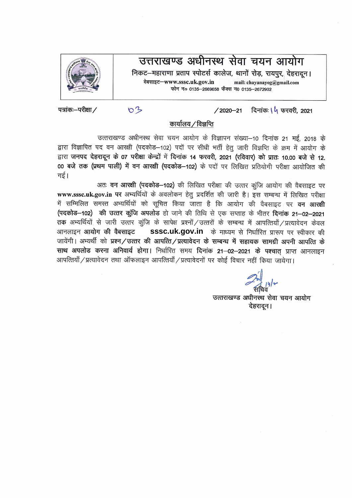उत्तराखण्ड अधीनस्थ सेवा चयन आयोग निकट–महाराणा प्रताप स्पोटर्स कालेज, थानों रोड़, रायपूर, देहरादून। वेबसाइट-www.sssc.uk.gov.in mail: chayanayog@gmail.com फोन न० 0135-2669658 फैक्स न0 0135-2672902



पत्रांकः-परीक्षा /

दिनांकः **\ 4** फरवरी, 2021  $/2020 - 21$ 

 $03$ 

कार्यालय / विज्ञप्ति

उत्तराखण्ड अधीनस्थ सेवा चयन आयोग के विज्ञापन संख्या-10 दिनांक 21 मई, 2018 के द्वारा विज्ञापित पद वन आरक्षी (पदकोड़–102) पदों पर सीधी भर्ती हेतू जारी विज्ञप्ति के क्रम में आयोग के द्वारा जनपद देहरादून के 07 परीक्षा केन्द्रों में दिनांक 14 फरवरी, 2021 (रविवार) को प्रातः 10.00 बजे से 12. 00 बजे तक (प्रथम पाली) में वन आरक्षी (पदकोड़-102) के पदों पर लिखित प्रतियोगी परीक्षा आयोजित की गई।

अतः वन आरक्षी (पदकोड-102) की लिखित परीक्षा की उत्तर कुंजि आयोग की वैबसाइट पर www.sssc.uk.gov.in पर अभ्यर्थियों के अवलोकन हेतु प्रदर्शित की जारी है। इस सम्बन्ध में लिखित परीक्षा में सम्मिलित समस्त अभ्यर्थियों को सूचित किया जाता है कि आयोग की वैबसाइट पर **वन आरक्षी** (पदकोड़-102) की उत्तर कूंजि अपलोड हो जाने की तिथि से एक सप्ताह के भीतर दिनांक 21-02-2021 तक अभ्यर्थियों से जारी उत्तर कूंजि के सापेक्ष प्रश्नों / उत्तरों के सम्बन्ध में आपत्तियाँ / प्रत्यावेदन केवल आनलाइन **आयोग की वैबसाइट** SSSC.Uk.gov.in के माध्यम से निर्धारित प्रारूप पर स्वीकार की जायेंगी। अभ्यर्थी को प्रश्न/उत्तर की आपत्ति/प्रत्यावेदन के सम्बन्ध में सहायक सामग्री अपनी आपत्ति के साथ अपलोड करना अनिवार्य होगा। निर्धारित समय दिनांक 21–02–2021 के पश्चात् प्राप्त आनलाइन आपत्तियाँ / प्रत्यावेदन तथा ऑफलाइन आपत्तियाँ / प्रत्यावेदनों पर कोई विचार नहीं किया जायेगा।

उत्तराखण्ड अधीनस्थ सेवा चयन आयोग देहरादून।